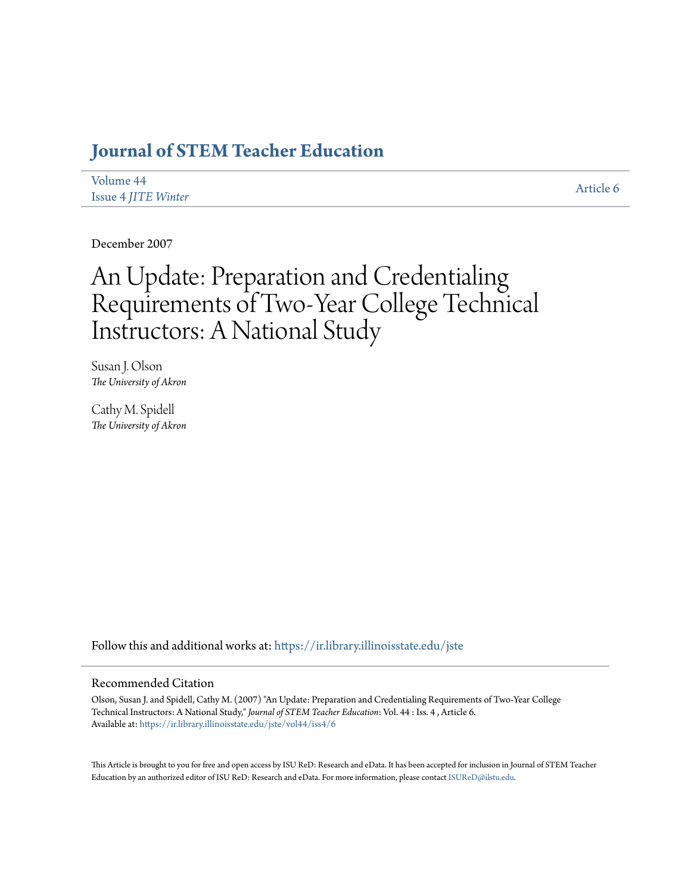# **[Journal of STEM Teacher Education](https://ir.library.illinoisstate.edu/jste?utm_source=ir.library.illinoisstate.edu%2Fjste%2Fvol44%2Fiss4%2F6&utm_medium=PDF&utm_campaign=PDFCoverPages)**

| Volume 44                  |  |  |
|----------------------------|--|--|
| <b>Issue 4 JITE Winter</b> |  |  |

[Article 6](https://ir.library.illinoisstate.edu/jste/vol44/iss4/6?utm_source=ir.library.illinoisstate.edu%2Fjste%2Fvol44%2Fiss4%2F6&utm_medium=PDF&utm_campaign=PDFCoverPages)

December 2007

# An Update: Preparation and Credentialing Requirements of Two-Year College Technical Instructors: A National Study

Susan J. Olson *The University of Akron*

Cathy M. Spidell *The University of Akron*

Follow this and additional works at: [https://ir.library.illinoisstate.edu/jste](https://ir.library.illinoisstate.edu/jste?utm_source=ir.library.illinoisstate.edu%2Fjste%2Fvol44%2Fiss4%2F6&utm_medium=PDF&utm_campaign=PDFCoverPages)

# Recommended Citation

Olson, Susan J. and Spidell, Cathy M. (2007) "An Update: Preparation and Credentialing Requirements of Two-Year College Technical Instructors: A National Study," *Journal of STEM Teacher Education*: Vol. 44 : Iss. 4 , Article 6. Available at: [https://ir.library.illinoisstate.edu/jste/vol44/iss4/6](https://ir.library.illinoisstate.edu/jste/vol44/iss4/6?utm_source=ir.library.illinoisstate.edu%2Fjste%2Fvol44%2Fiss4%2F6&utm_medium=PDF&utm_campaign=PDFCoverPages)

This Article is brought to you for free and open access by ISU ReD: Research and eData. It has been accepted for inclusion in Journal of STEM Teacher Education by an authorized editor of ISU ReD: Research and eData. For more information, please contact [ISUReD@ilstu.edu.](mailto:ISUReD@ilstu.edu)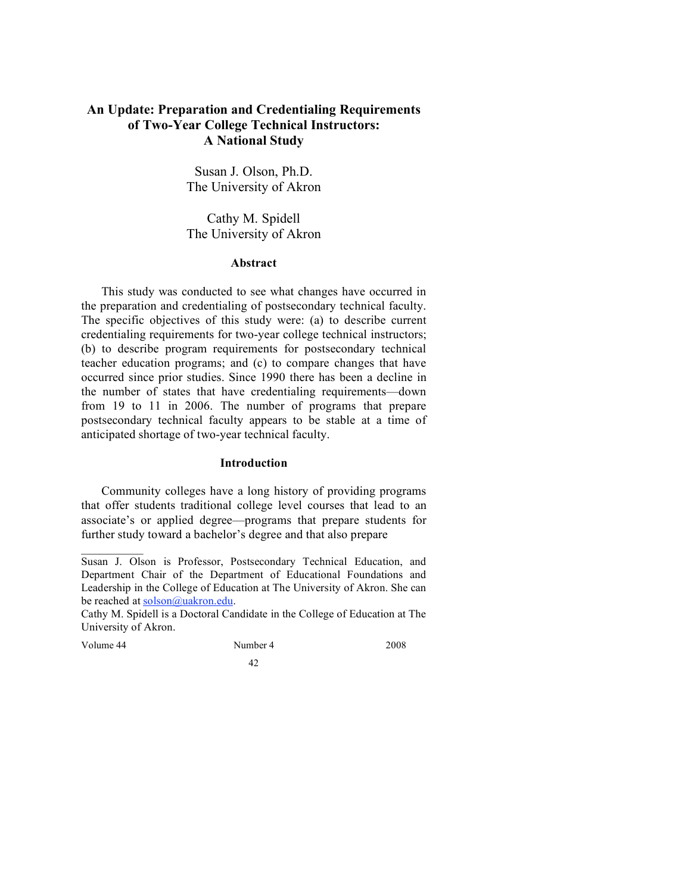# **An Update: Preparation and Credentialing Requirements of Two-Year College Technical Instructors: A National Study**

Susan J. Olson, Ph.D. The University of Akron

Cathy M. Spidell The University of Akron

# **Abstract**

This study was conducted to see what changes have occurred in the preparation and credentialing of postsecondary technical faculty. The specific objectives of this study were: (a) to describe current credentialing requirements for two-year college technical instructors; (b) to describe program requirements for postsecondary technical teacher education programs; and (c) to compare changes that have occurred since prior studies. Since 1990 there has been a decline in the number of states that have credentialing requirements—down from 19 to 11 in 2006. The number of programs that prepare postsecondary technical faculty appears to be stable at a time of anticipated shortage of two-year technical faculty.

### **Introduction**

Community colleges have a long history of providing programs that offer students traditional college level courses that lead to an associate's or applied degree—programs that prepare students for further study toward a bachelor's degree and that also prepare

Volume 44 Number 4 2008 42

 $\mathcal{L}_\text{max}$ 

Susan J. Olson is Professor, Postsecondary Technical Education, and Department Chair of the Department of Educational Foundations and Leadership in the College of Education at The University of Akron. She can be reached at solson@uakron.edu.

Cathy M. Spidell is a Doctoral Candidate in the College of Education at The University of Akron.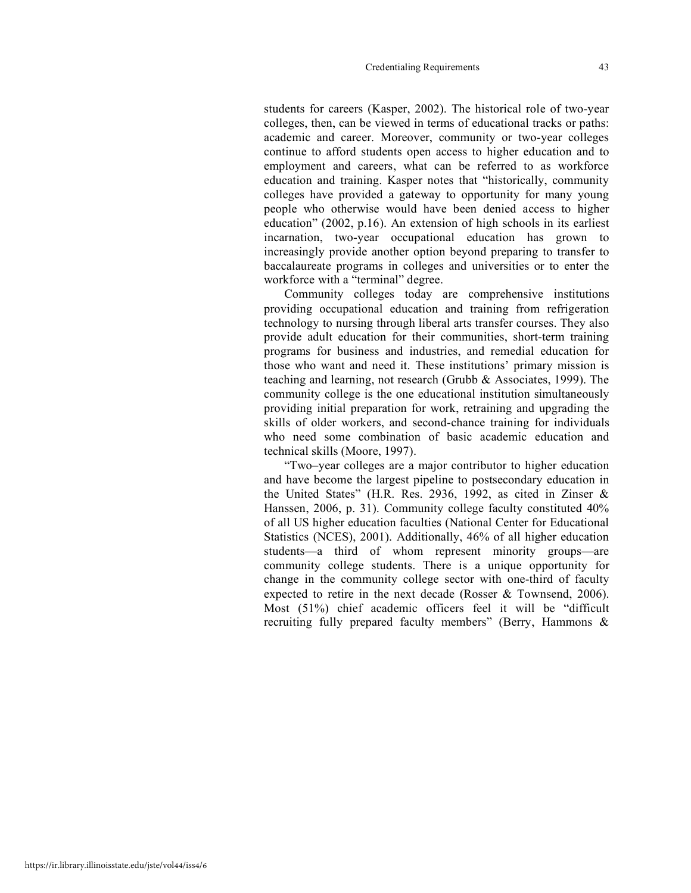#### Credentialing Requirements 43

students for careers (Kasper, 2002). The historical role of two-year colleges, then, can be viewed in terms of educational tracks or paths: academic and career. Moreover, community or two-year colleges continue to afford students open access to higher education and to employment and careers, what can be referred to as workforce education and training. Kasper notes that "historically, community colleges have provided a gateway to opportunity for many young people who otherwise would have been denied access to higher education" (2002, p.16). An extension of high schools in its earliest incarnation, two-year occupational education has grown to increasingly provide another option beyond preparing to transfer to baccalaureate programs in colleges and universities or to enter the workforce with a "terminal" degree.

Community colleges today are comprehensive institutions providing occupational education and training from refrigeration technology to nursing through liberal arts transfer courses. They also provide adult education for their communities, short-term training programs for business and industries, and remedial education for those who want and need it. These institutions' primary mission is teaching and learning, not research (Grubb & Associates, 1999). The community college is the one educational institution simultaneously providing initial preparation for work, retraining and upgrading the skills of older workers, and second-chance training for individuals who need some combination of basic academic education and technical skills (Moore, 1997).

"Two–year colleges are a major contributor to higher education and have become the largest pipeline to postsecondary education in the United States" (H.R. Res. 2936, 1992, as cited in Zinser & Hanssen, 2006, p. 31). Community college faculty constituted 40% of all US higher education faculties (National Center for Educational Statistics (NCES), 2001). Additionally, 46% of all higher education students—a third of whom represent minority groups—are community college students. There is a unique opportunity for change in the community college sector with one-third of faculty expected to retire in the next decade (Rosser & Townsend, 2006). Most (51%) chief academic officers feel it will be "difficult recruiting fully prepared faculty members" (Berry, Hammons &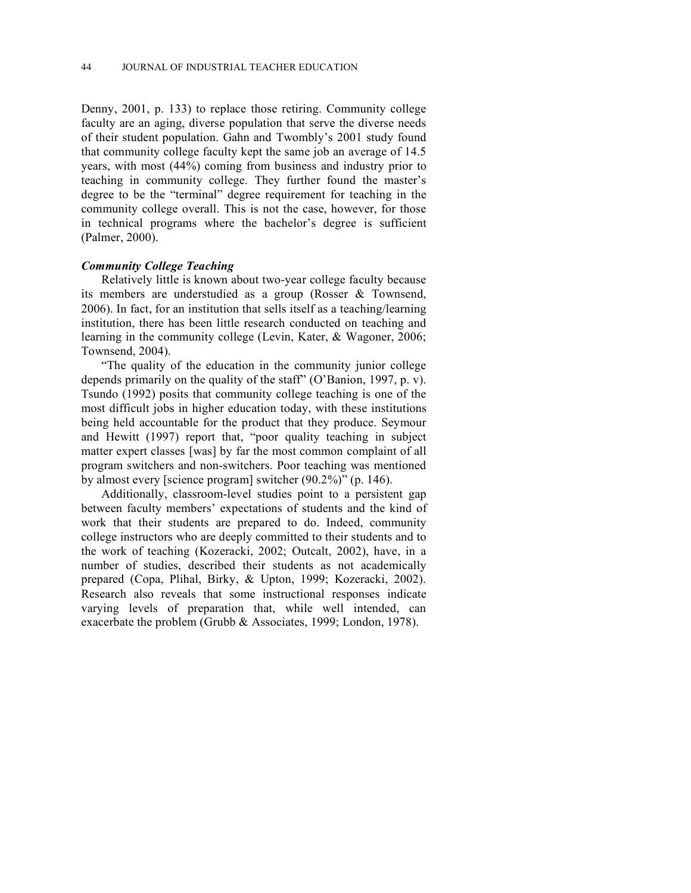Denny, 2001, p. 133) to replace those retiring. Community college faculty are an aging, diverse population that serve the diverse needs of their student population. Gahn and Twombly's 2001 study found that community college faculty kept the same job an average of 14.5 years, with most (44%) coming from business and industry prior to teaching in community college. They further found the master's degree to be the "terminal" degree requirement for teaching in the community college overall. This is not the case, however, for those in technical programs where the bachelor's degree is sufficient (Palmer, 2000).

### *Community College Teaching*

Relatively little is known about two-year college faculty because its members are understudied as a group (Rosser & Townsend, 2006). In fact, for an institution that sells itself as a teaching/learning institution, there has been little research conducted on teaching and learning in the community college (Levin, Kater, & Wagoner, 2006; Townsend, 2004).

"The quality of the education in the community junior college depends primarily on the quality of the staff" (O'Banion, 1997, p. v). Tsundo (1992) posits that community college teaching is one of the most difficult jobs in higher education today, with these institutions being held accountable for the product that they produce. Seymour and Hewitt (1997) report that, "poor quality teaching in subject matter expert classes [was] by far the most common complaint of all program switchers and non-switchers. Poor teaching was mentioned by almost every [science program] switcher (90.2%)" (p. 146).

Additionally, classroom-level studies point to a persistent gap between faculty members' expectations of students and the kind of work that their students are prepared to do. Indeed, community college instructors who are deeply committed to their students and to the work of teaching (Kozeracki, 2002; Outcalt, 2002), have, in a number of studies, described their students as not academically prepared (Copa, Plihal, Birky, & Upton, 1999; Kozeracki, 2002). Research also reveals that some instructional responses indicate varying levels of preparation that, while well intended, can exacerbate the problem (Grubb & Associates, 1999; London, 1978).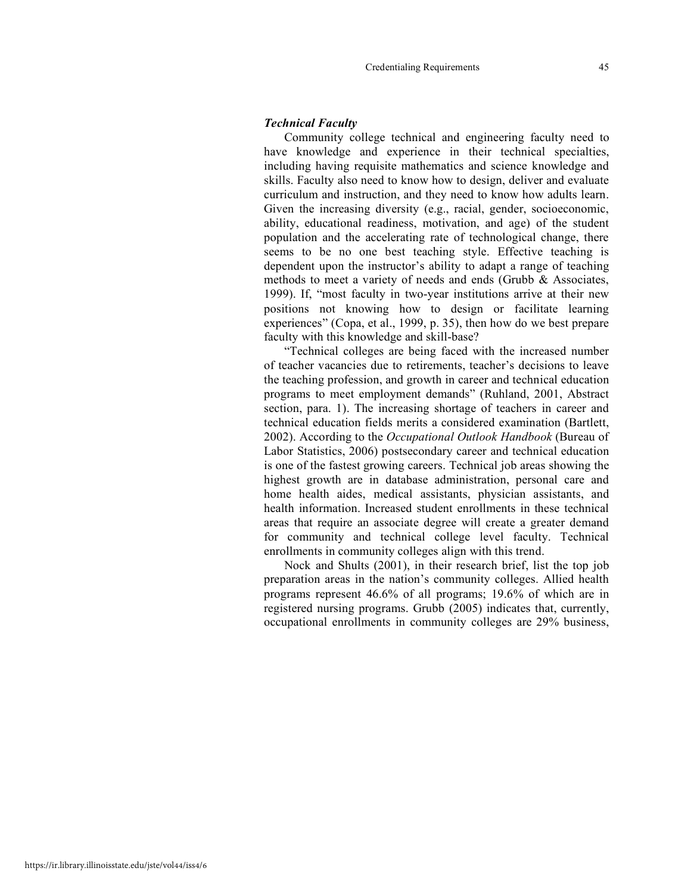#### *Technical Faculty*

Community college technical and engineering faculty need to have knowledge and experience in their technical specialties, including having requisite mathematics and science knowledge and skills. Faculty also need to know how to design, deliver and evaluate curriculum and instruction, and they need to know how adults learn. Given the increasing diversity (e.g., racial, gender, socioeconomic, ability, educational readiness, motivation, and age) of the student population and the accelerating rate of technological change, there seems to be no one best teaching style. Effective teaching is dependent upon the instructor's ability to adapt a range of teaching methods to meet a variety of needs and ends (Grubb & Associates, 1999). If, "most faculty in two-year institutions arrive at their new positions not knowing how to design or facilitate learning experiences" (Copa, et al., 1999, p. 35), then how do we best prepare faculty with this knowledge and skill-base?

"Technical colleges are being faced with the increased number of teacher vacancies due to retirements, teacher's decisions to leave the teaching profession, and growth in career and technical education programs to meet employment demands" (Ruhland, 2001, Abstract section, para. 1). The increasing shortage of teachers in career and technical education fields merits a considered examination (Bartlett, 2002). According to the *Occupational Outlook Handbook* (Bureau of Labor Statistics, 2006) postsecondary career and technical education is one of the fastest growing careers. Technical job areas showing the highest growth are in database administration, personal care and home health aides, medical assistants, physician assistants, and health information. Increased student enrollments in these technical areas that require an associate degree will create a greater demand for community and technical college level faculty. Technical enrollments in community colleges align with this trend.

Nock and Shults (2001), in their research brief, list the top job preparation areas in the nation's community colleges. Allied health programs represent 46.6% of all programs; 19.6% of which are in registered nursing programs. Grubb (2005) indicates that, currently, occupational enrollments in community colleges are 29% business,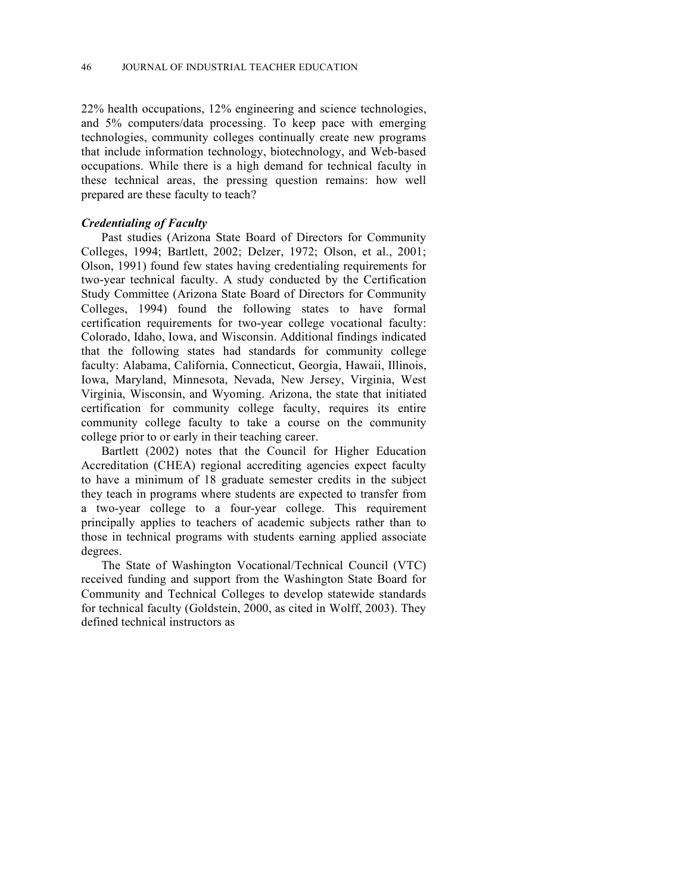22% health occupations, 12% engineering and science technologies, and 5% computers/data processing. To keep pace with emerging technologies, community colleges continually create new programs that include information technology, biotechnology, and Web-based occupations. While there is a high demand for technical faculty in these technical areas, the pressing question remains: how well prepared are these faculty to teach?

# *Credentialing of Faculty*

Past studies (Arizona State Board of Directors for Community Colleges, 1994; Bartlett, 2002; Delzer, 1972; Olson, et al., 2001; Olson, 1991) found few states having credentialing requirements for two-year technical faculty. A study conducted by the Certification Study Committee (Arizona State Board of Directors for Community Colleges, 1994) found the following states to have formal certification requirements for two-year college vocational faculty: Colorado, Idaho, Iowa, and Wisconsin. Additional findings indicated that the following states had standards for community college faculty: Alabama, California, Connecticut, Georgia, Hawaii, Illinois, Iowa, Maryland, Minnesota, Nevada, New Jersey, Virginia, West Virginia, Wisconsin, and Wyoming. Arizona, the state that initiated certification for community college faculty, requires its entire community college faculty to take a course on the community college prior to or early in their teaching career.

Bartlett (2002) notes that the Council for Higher Education Accreditation (CHEA) regional accrediting agencies expect faculty to have a minimum of 18 graduate semester credits in the subject they teach in programs where students are expected to transfer from a two-year college to a four-year college. This requirement principally applies to teachers of academic subjects rather than to those in technical programs with students earning applied associate degrees.

The State of Washington Vocational/Technical Council (VTC) received funding and support from the Washington State Board for Community and Technical Colleges to develop statewide standards for technical faculty (Goldstein, 2000, as cited in Wolff, 2003). They defined technical instructors as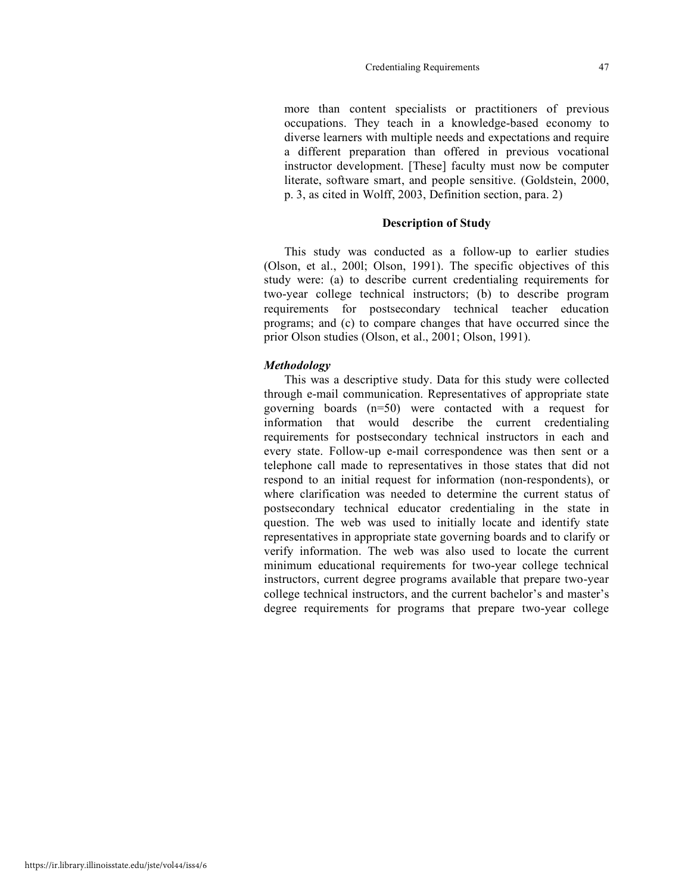#### Credentialing Requirements 47

more than content specialists or practitioners of previous occupations. They teach in a knowledge-based economy to diverse learners with multiple needs and expectations and require a different preparation than offered in previous vocational instructor development. [These] faculty must now be computer literate, software smart, and people sensitive. (Goldstein, 2000, p. 3, as cited in Wolff, 2003, Definition section, para. 2)

#### **Description of Study**

This study was conducted as a follow-up to earlier studies (Olson, et al., 200l; Olson, 1991). The specific objectives of this study were: (a) to describe current credentialing requirements for two-year college technical instructors; (b) to describe program requirements for postsecondary technical teacher education programs; and (c) to compare changes that have occurred since the prior Olson studies (Olson, et al., 2001; Olson, 1991).

#### *Methodology*

This was a descriptive study. Data for this study were collected through e-mail communication. Representatives of appropriate state governing boards (n=50) were contacted with a request for information that would describe the current credentialing requirements for postsecondary technical instructors in each and every state. Follow-up e-mail correspondence was then sent or a telephone call made to representatives in those states that did not respond to an initial request for information (non-respondents), or where clarification was needed to determine the current status of postsecondary technical educator credentialing in the state in question. The web was used to initially locate and identify state representatives in appropriate state governing boards and to clarify or verify information. The web was also used to locate the current minimum educational requirements for two-year college technical instructors, current degree programs available that prepare two-year college technical instructors, and the current bachelor's and master's degree requirements for programs that prepare two-year college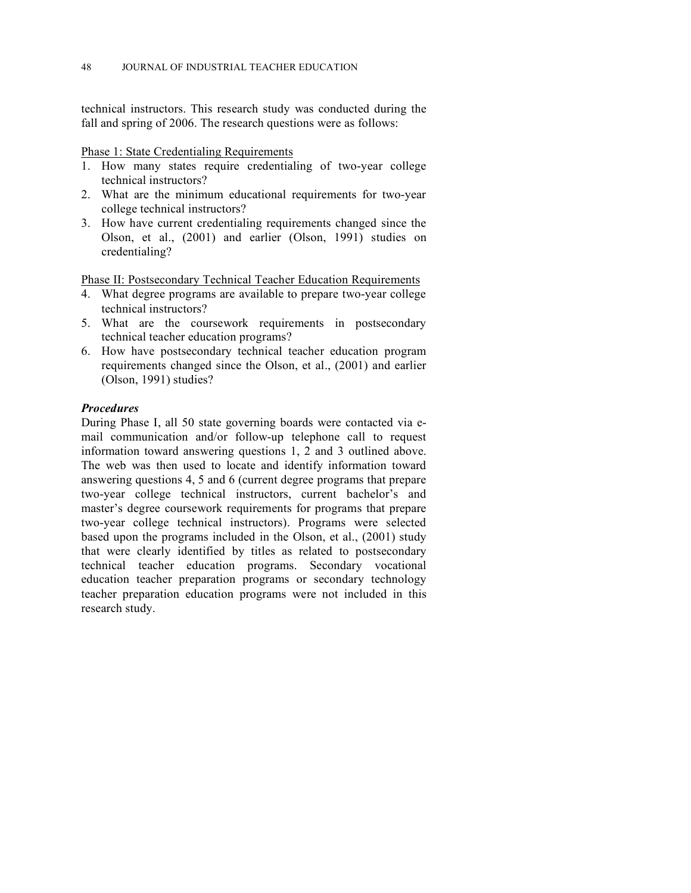technical instructors. This research study was conducted during the fall and spring of 2006. The research questions were as follows:

# Phase 1: State Credentialing Requirements

- 1. How many states require credentialing of two-year college technical instructors?
- 2. What are the minimum educational requirements for two-year college technical instructors?
- 3. How have current credentialing requirements changed since the Olson, et al., (2001) and earlier (Olson, 1991) studies on credentialing?

Phase II: Postsecondary Technical Teacher Education Requirements

- 4. What degree programs are available to prepare two-year college technical instructors?
- 5. What are the coursework requirements in postsecondary technical teacher education programs?
- 6. How have postsecondary technical teacher education program requirements changed since the Olson, et al., (2001) and earlier (Olson, 1991) studies?

# *Procedures*

During Phase I, all 50 state governing boards were contacted via email communication and/or follow-up telephone call to request information toward answering questions 1, 2 and 3 outlined above. The web was then used to locate and identify information toward answering questions 4, 5 and 6 (current degree programs that prepare two-year college technical instructors, current bachelor's and master's degree coursework requirements for programs that prepare two-year college technical instructors). Programs were selected based upon the programs included in the Olson, et al., (2001) study that were clearly identified by titles as related to postsecondary technical teacher education programs. Secondary vocational education teacher preparation programs or secondary technology teacher preparation education programs were not included in this research study.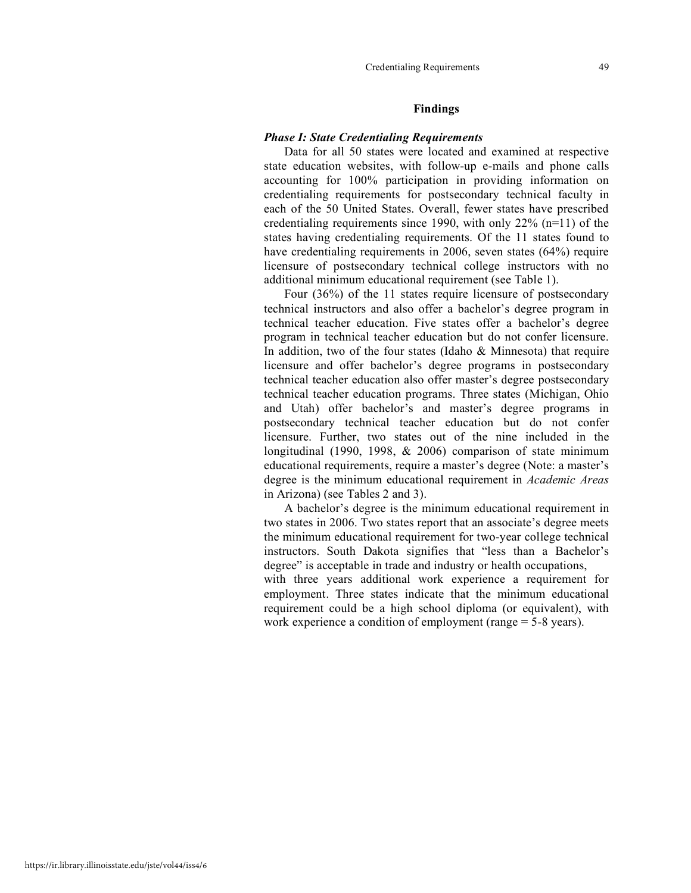## **Findings**

# *Phase I: State Credentialing Requirements*

Data for all 50 states were located and examined at respective state education websites, with follow-up e-mails and phone calls accounting for 100% participation in providing information on credentialing requirements for postsecondary technical faculty in each of the 50 United States. Overall, fewer states have prescribed credentialing requirements since 1990, with only 22% (n=11) of the states having credentialing requirements. Of the 11 states found to have credentialing requirements in 2006, seven states (64%) require licensure of postsecondary technical college instructors with no additional minimum educational requirement (see Table 1).

Four (36%) of the 11 states require licensure of postsecondary technical instructors and also offer a bachelor's degree program in technical teacher education. Five states offer a bachelor's degree program in technical teacher education but do not confer licensure. In addition, two of the four states (Idaho & Minnesota) that require licensure and offer bachelor's degree programs in postsecondary technical teacher education also offer master's degree postsecondary technical teacher education programs. Three states (Michigan, Ohio and Utah) offer bachelor's and master's degree programs in postsecondary technical teacher education but do not confer licensure. Further, two states out of the nine included in the longitudinal (1990, 1998, & 2006) comparison of state minimum educational requirements, require a master's degree (Note: a master's degree is the minimum educational requirement in *Academic Areas* in Arizona) (see Tables 2 and 3).

A bachelor's degree is the minimum educational requirement in two states in 2006. Two states report that an associate's degree meets the minimum educational requirement for two-year college technical instructors. South Dakota signifies that "less than a Bachelor's degree" is acceptable in trade and industry or health occupations, with three years additional work experience a requirement for

employment. Three states indicate that the minimum educational requirement could be a high school diploma (or equivalent), with work experience a condition of employment (range = 5-8 years).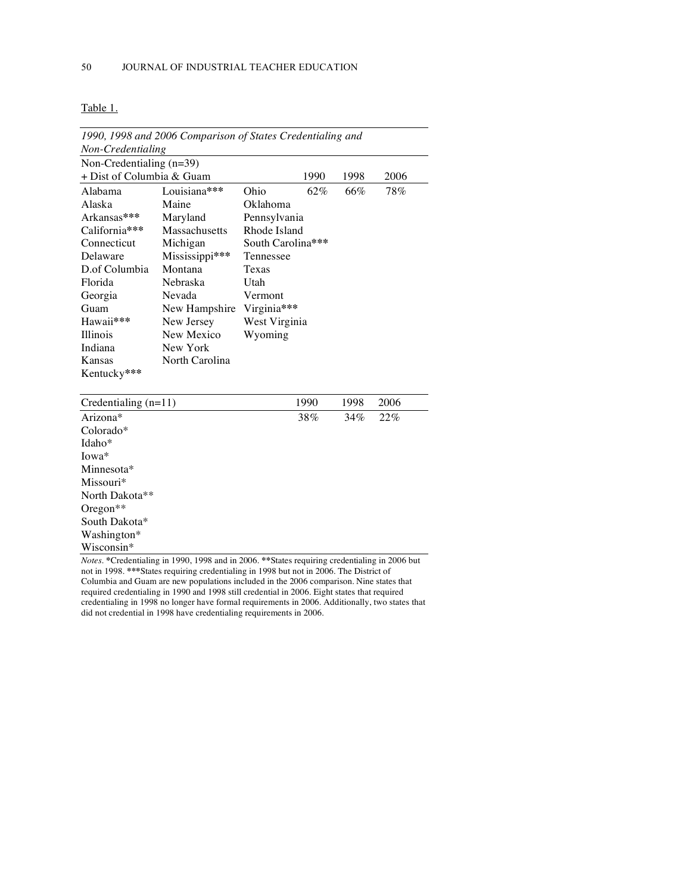Washington\* Wisconsin\*

|                            | 1990, 1998 and 2006 Comparison of States Credentialing and |                   |      |      |      |
|----------------------------|------------------------------------------------------------|-------------------|------|------|------|
| Non-Credentialing          |                                                            |                   |      |      |      |
| Non-Credentialing $(n=39)$ |                                                            |                   |      |      |      |
| + Dist of Columbia & Guam  |                                                            |                   | 1990 | 1998 | 2006 |
| Alabama                    | Louisiana***                                               | Ohio              | 62%  | 66%  | 78%  |
| Alaska                     | Maine                                                      | Oklahoma          |      |      |      |
| Arkansas***                | Maryland                                                   | Pennsylvania      |      |      |      |
| California***              | Massachusetts                                              | Rhode Island      |      |      |      |
| Connecticut                | Michigan                                                   | South Carolina*** |      |      |      |
| Delaware                   | Mississippi***                                             | Tennessee         |      |      |      |
| D.of Columbia              | Montana                                                    | Texas             |      |      |      |
| Florida                    | Nebraska                                                   | Utah              |      |      |      |
| Georgia                    | Nevada                                                     | Vermont           |      |      |      |
| Guam                       | New Hampshire                                              | Virginia***       |      |      |      |
| Hawaii***                  | New Jersey                                                 | West Virginia     |      |      |      |
| <b>Illinois</b>            | New Mexico                                                 | Wyoming           |      |      |      |
| Indiana                    | New York                                                   |                   |      |      |      |
| Kansas                     | North Carolina                                             |                   |      |      |      |
| Kentucky***                |                                                            |                   |      |      |      |
|                            |                                                            |                   |      |      |      |
| Credentialing $(n=11)$     |                                                            |                   | 1990 | 1998 | 2006 |
| Arizona*                   |                                                            |                   | 38%  | 34%  | 22%  |
| Colorado*                  |                                                            |                   |      |      |      |
| Idaho*                     |                                                            |                   |      |      |      |
| Iowa*                      |                                                            |                   |      |      |      |
| Minnesota*                 |                                                            |                   |      |      |      |
| Missouri*                  |                                                            |                   |      |      |      |
| North Dakota**             |                                                            |                   |      |      |      |
| Oregon $**$                |                                                            |                   |      |      |      |
| South Dakota*              |                                                            |                   |      |      |      |

*Notes.* **\***Credentialing in 1990, 1998 and in 2006. **\*\***States requiring credentialing in 2006 but not in 1998. **\*\*\***States requiring credentialing in 1998 but not in 2006. The District of Columbia and Guam are new populations included in the 2006 comparison. Nine states that required credentialing in 1990 and 1998 still credential in 2006. Eight states that required credentialing in 1998 no longer have formal requirements in 2006. Additionally, two states that did not credential in 1998 have credentialing requirements in 2006.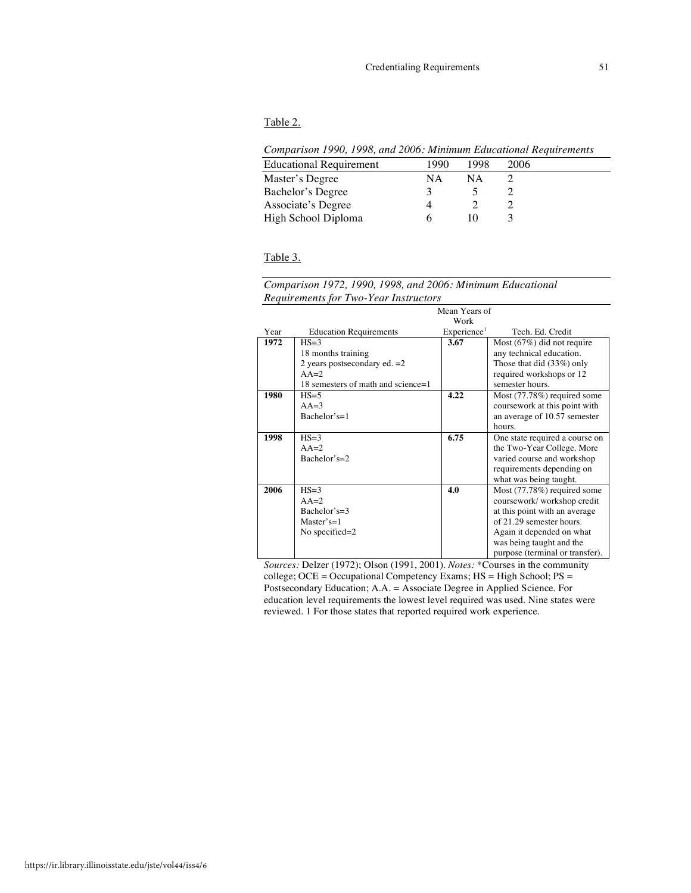#### Table 2.

| Comparison 1990, 1998, and 2006: Minimum Educational Requirements |  |  |  |  |  |
|-------------------------------------------------------------------|--|--|--|--|--|
|-------------------------------------------------------------------|--|--|--|--|--|

| Companion 1990, 1990, and 2000, himming Bancaronal Itoques emerge |      |      |      |
|-------------------------------------------------------------------|------|------|------|
| <b>Educational Requirement</b>                                    | 1990 | 1998 | 2006 |
| Master's Degree                                                   | NΑ   | ΝA   |      |
| Bachelor's Degree                                                 |      |      |      |
| Associate's Degree                                                |      |      |      |
| High School Diploma                                               |      |      |      |
|                                                                   |      |      |      |

# Table 3.

# *Comparison 1972, 1990, 1998, and 2006: Minimum Educational Requirements for Two-Year Instructors*

|      | Mean Years of                      |                         |                                 |  |  |  |
|------|------------------------------------|-------------------------|---------------------------------|--|--|--|
|      |                                    | Work                    |                                 |  |  |  |
| Year | <b>Education Requirements</b>      | Experience <sup>1</sup> | Tech. Ed. Credit                |  |  |  |
| 1972 | $HS = 3$                           | 3.67                    | Most $(67%)$ did not require    |  |  |  |
|      | 18 months training                 |                         | any technical education.        |  |  |  |
|      | 2 years postsecondary ed. $=2$     |                         | Those that did (33%) only       |  |  |  |
|      | $AA=2$                             |                         | required workshops or 12        |  |  |  |
|      | 18 semesters of math and science=1 |                         | semester hours.                 |  |  |  |
| 1980 | $HS = 5$                           | 4.22                    | Most $(77.78%)$ required some   |  |  |  |
|      | $AA=3$                             |                         | coursework at this point with   |  |  |  |
|      | Bachelor's= $1$                    |                         | an average of 10.57 semester    |  |  |  |
|      |                                    |                         | hours.                          |  |  |  |
| 1998 | $HS = 3$                           | 6.75                    | One state required a course on  |  |  |  |
|      | $AA=2$                             |                         | the Two-Year College. More      |  |  |  |
|      | Bachelor's= $2$                    |                         | varied course and workshop      |  |  |  |
|      |                                    |                         | requirements depending on       |  |  |  |
|      |                                    |                         | what was being taught.          |  |  |  |
| 2006 | $HS = 3$                           | 4.0                     | Most (77.78%) required some     |  |  |  |
|      | $AA=2$                             |                         | coursework/workshop credit      |  |  |  |
|      | Bachelor's= $3$                    |                         | at this point with an average   |  |  |  |
|      | $Master's = 1$                     |                         | of 21.29 semester hours.        |  |  |  |
|      | No specified= $2$                  |                         | Again it depended on what       |  |  |  |
|      |                                    |                         | was being taught and the        |  |  |  |
|      |                                    |                         | purpose (terminal or transfer). |  |  |  |

*Sources:* Delzer (1972); Olson (1991, 2001). *Notes:* \*Courses in the community college; OCE = Occupational Competency Exams; HS = High School; PS = Postsecondary Education; A.A. = Associate Degree in Applied Science. For education level requirements the lowest level required was used. Nine states were reviewed. 1 For those states that reported required work experience.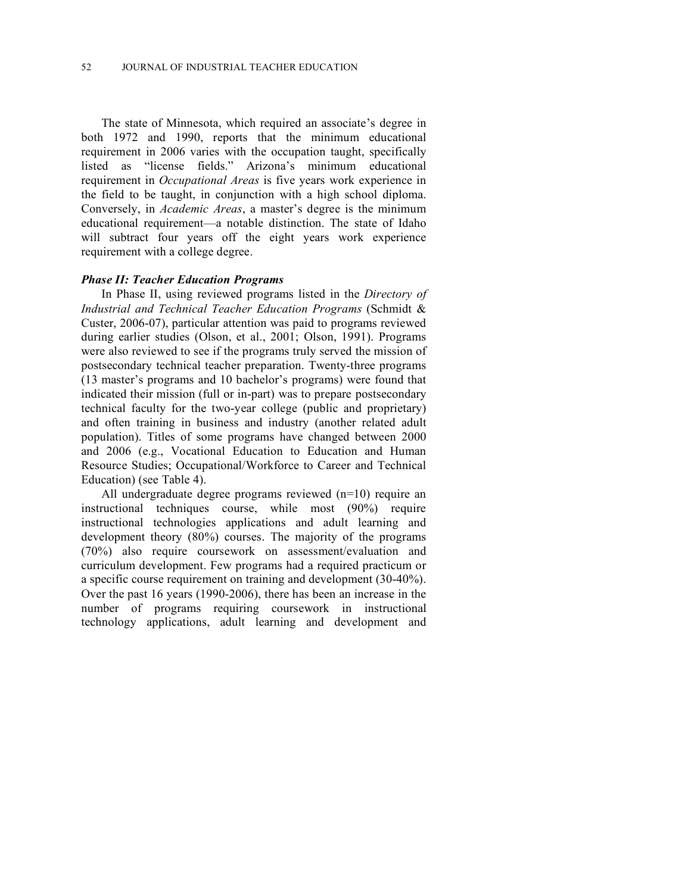The state of Minnesota, which required an associate's degree in both 1972 and 1990, reports that the minimum educational requirement in 2006 varies with the occupation taught, specifically listed as "license fields." Arizona's minimum educational requirement in *Occupational Areas* is five years work experience in the field to be taught, in conjunction with a high school diploma. Conversely, in *Academic Areas*, a master's degree is the minimum educational requirement—a notable distinction. The state of Idaho will subtract four years off the eight years work experience requirement with a college degree.

#### *Phase II: Teacher Education Programs*

In Phase II, using reviewed programs listed in the *Directory of Industrial and Technical Teacher Education Programs* (Schmidt & Custer, 2006-07), particular attention was paid to programs reviewed during earlier studies (Olson, et al., 2001; Olson, 1991). Programs were also reviewed to see if the programs truly served the mission of postsecondary technical teacher preparation. Twenty-three programs (13 master's programs and 10 bachelor's programs) were found that indicated their mission (full or in-part) was to prepare postsecondary technical faculty for the two-year college (public and proprietary) and often training in business and industry (another related adult population). Titles of some programs have changed between 2000 and 2006 (e.g., Vocational Education to Education and Human Resource Studies; Occupational/Workforce to Career and Technical Education) (see Table 4).

All undergraduate degree programs reviewed (n=10) require an instructional techniques course, while most (90%) require instructional technologies applications and adult learning and development theory (80%) courses. The majority of the programs (70%) also require coursework on assessment/evaluation and curriculum development. Few programs had a required practicum or a specific course requirement on training and development (30-40%). Over the past 16 years (1990-2006), there has been an increase in the number of programs requiring coursework in instructional technology applications, adult learning and development and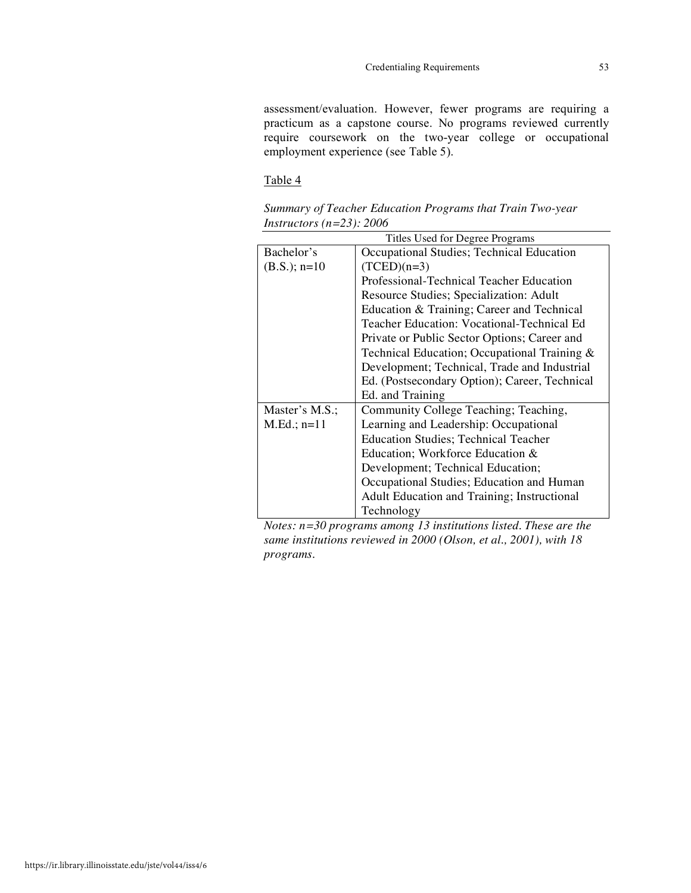assessment/evaluation. However, fewer programs are requiring a practicum as a capstone course. No programs reviewed currently require coursework on the two-year college or occupational employment experience (see Table 5).

# Table 4

| Summary of Teacher Education Programs that Train Two-year |  |  |  |
|-----------------------------------------------------------|--|--|--|
| Instructors (n=23): $2006$                                |  |  |  |

|                | Titles Used for Degree Programs               |  |  |  |  |
|----------------|-----------------------------------------------|--|--|--|--|
| Bachelor's     | Occupational Studies; Technical Education     |  |  |  |  |
| $(B.S.); n=10$ | $(TCED)(n=3)$                                 |  |  |  |  |
|                | Professional-Technical Teacher Education      |  |  |  |  |
|                | Resource Studies; Specialization: Adult       |  |  |  |  |
|                | Education & Training; Career and Technical    |  |  |  |  |
|                | Teacher Education: Vocational-Technical Ed    |  |  |  |  |
|                | Private or Public Sector Options; Career and  |  |  |  |  |
|                | Technical Education; Occupational Training &  |  |  |  |  |
|                | Development; Technical, Trade and Industrial  |  |  |  |  |
|                | Ed. (Postsecondary Option); Career, Technical |  |  |  |  |
|                | Ed. and Training                              |  |  |  |  |
| Master's M.S.; | Community College Teaching; Teaching,         |  |  |  |  |
| $M.Ed.; n=11$  | Learning and Leadership: Occupational         |  |  |  |  |
|                | <b>Education Studies; Technical Teacher</b>   |  |  |  |  |
|                | Education; Workforce Education &              |  |  |  |  |
|                | Development; Technical Education;             |  |  |  |  |
|                | Occupational Studies; Education and Human     |  |  |  |  |
|                | Adult Education and Training; Instructional   |  |  |  |  |
|                | Technology                                    |  |  |  |  |

*Notes: n=30 programs among 13 institutions listed. These are the same institutions reviewed in 2000 (Olson, et al., 2001), with 18 programs.*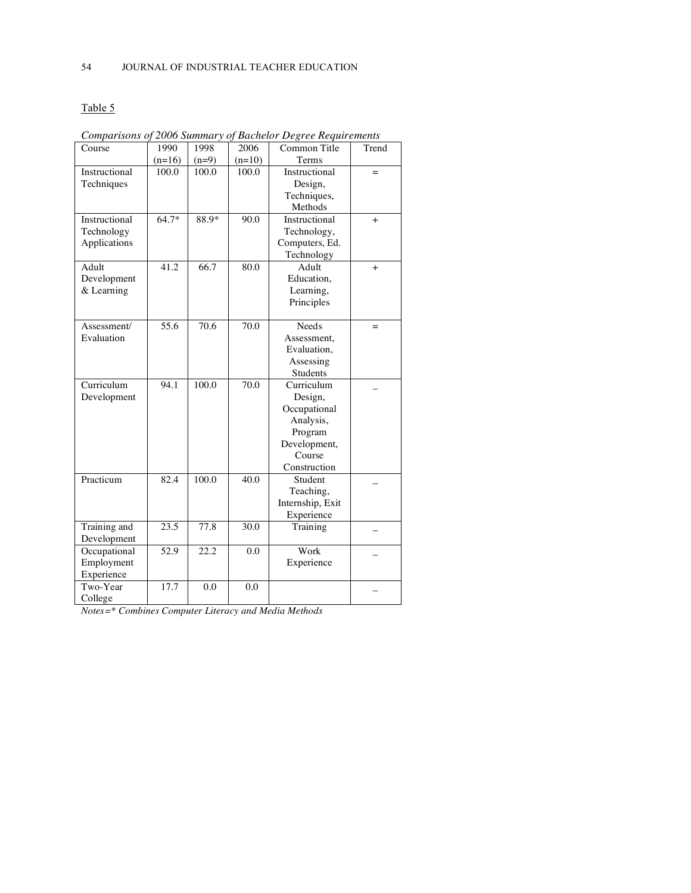# Table 5

| Course        | 1990             | 1998              | 2006     | Common Title     | Trend |
|---------------|------------------|-------------------|----------|------------------|-------|
|               | $(n=16)$         | $(n=9)$           | $(n=10)$ | Terms            |       |
| Instructional | 100.0            | 100.0             | 100.0    | Instructional    | $=$   |
| Techniques    |                  |                   |          | Design,          |       |
|               |                  |                   |          | Techniques,      |       |
|               |                  |                   |          | Methods          |       |
| Instructional | 64.7*            | 88.9*             | 90.0     | Instructional    | $+$   |
| Technology    |                  |                   |          | Technology,      |       |
| Applications  |                  |                   |          | Computers, Ed.   |       |
|               |                  |                   |          | Technology       |       |
| Adult         | 41.2             | 66.7              | 80.0     | Adult            | $+$   |
| Development   |                  |                   |          | Education,       |       |
| & Learning    |                  |                   |          | Learning,        |       |
|               |                  |                   |          | Principles       |       |
|               |                  |                   |          |                  |       |
| Assessment/   | $\frac{1}{55.6}$ | 70.6              | 70.0     | Needs            | $=$   |
| Evaluation    |                  |                   |          | Assessment,      |       |
|               |                  |                   |          | Evaluation,      |       |
|               |                  |                   |          | Assessing        |       |
|               |                  |                   |          | Students         |       |
| Curriculum    | 94.1             | 100.0             | 70.0     | Curriculum       |       |
| Development   |                  |                   |          | Design,          |       |
|               |                  |                   |          | Occupational     |       |
|               |                  |                   |          | Analysis,        |       |
|               |                  |                   |          | Program          |       |
|               |                  |                   |          | Development,     |       |
|               |                  |                   |          | Course           |       |
|               |                  |                   |          | Construction     |       |
| Practicum     | 82.4             | 100.0             | 40.0     | Student          |       |
|               |                  |                   |          | Teaching,        |       |
|               |                  |                   |          | Internship, Exit |       |
|               |                  |                   |          | Experience       |       |
| Training and  | 23.5             | 77.8              | 30.0     | Training         |       |
| Development   |                  |                   |          |                  |       |
| Occupational  | 52.9             | $\overline{22.2}$ | 0.0      | Work             |       |
| Employment    |                  |                   |          | Experience       |       |
| Experience    |                  |                   |          |                  |       |
| Two-Year      | 17.7             | 0.0               | 0.0      |                  |       |
| College       |                  |                   |          |                  |       |

*Comparisons of 2006 Summary of Bachelor Degree Requirements*

*Notes=\* Combines Computer Literacy and Media Methods*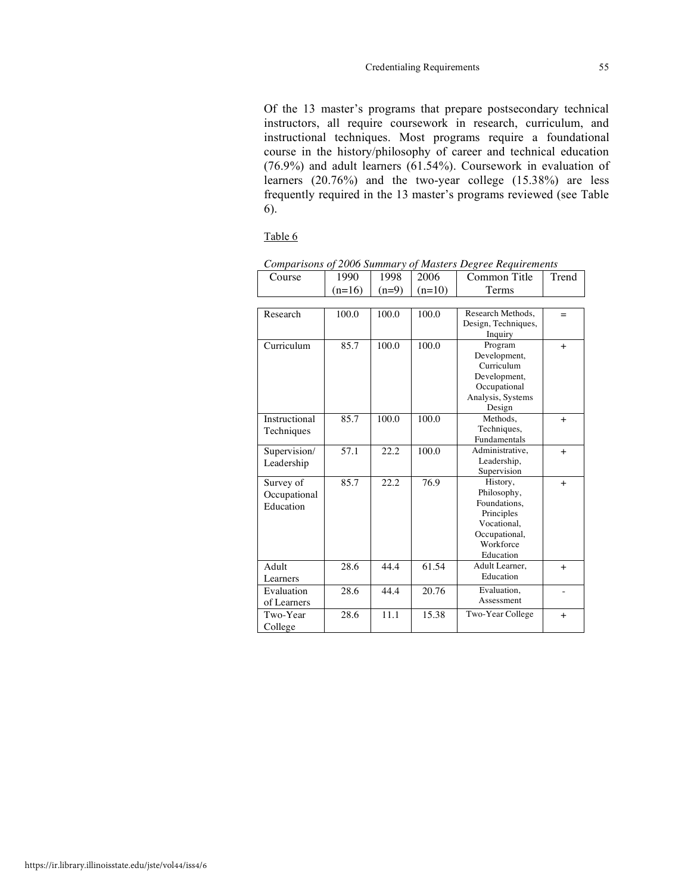Of the 13 master's programs that prepare postsecondary technical instructors, all require coursework in research, curriculum, and instructional techniques. Most programs require a foundational course in the history/philosophy of career and technical education (76.9%) and adult learners (61.54%). Coursework in evaluation of learners (20.76%) and the two-year college (15.38%) are less frequently required in the 13 master's programs reviewed (see Table 6).

# Table 6

|               | $(n=16)$ | $(n=9)$ | $(n=10)$ | Terms                       |        |
|---------------|----------|---------|----------|-----------------------------|--------|
|               |          |         |          |                             |        |
| Research      | 100.0    | 100.0   | 100.0    | Research Methods.           | $=$    |
|               |          |         |          | Design, Techniques,         |        |
|               |          |         |          | Inquiry                     |        |
| Curriculum    | 85.7     | 100.0   | 100.0    | Program                     | $+$    |
|               |          |         |          | Development,                |        |
|               |          |         |          | Curriculum                  |        |
|               |          |         |          | Development,                |        |
|               |          |         |          | Occupational                |        |
|               |          |         |          | Analysis, Systems           |        |
|               |          |         |          | Design                      |        |
| Instructional | 85.7     | 100.0   | 100.0    | Methods.                    | $+$    |
| Techniques    |          |         |          | Techniques,                 |        |
|               |          |         |          | Fundamentals                |        |
| Supervision/  | 57.1     | 22.2    | 100.0    | Administrative,             | $+$    |
| Leadership    |          |         |          | Leadership,                 |        |
|               |          |         |          | Supervision                 |        |
| Survey of     | 85.7     | 22.2    | 76.9     | History,                    | $+$    |
| Occupational  |          |         |          | Philosophy,                 |        |
| Education     |          |         |          | Foundations.                |        |
|               |          |         |          | Principles                  |        |
|               |          |         |          | Vocational,                 |        |
|               |          |         |          | Occupational,<br>Workforce  |        |
|               |          |         |          | Education                   |        |
| Adult         | 28.6     | 44.4    |          |                             |        |
|               |          |         | 61.54    | Adult Learner,<br>Education | $^{+}$ |
| Learners      |          |         |          |                             |        |
| Evaluation    | 28.6     | 44.4    | 20.76    | Evaluation,                 |        |
| of Learners   |          |         |          | Assessment                  |        |
| Two-Year      | 28.6     | 11.1    | 15.38    | Two-Year College            | $^{+}$ |
| College       |          |         |          |                             |        |

*Comparisons of 2006 Summary of Masters Degree Requirements*

Course | 1990 | 1998 | 2006 | Common Title | Trend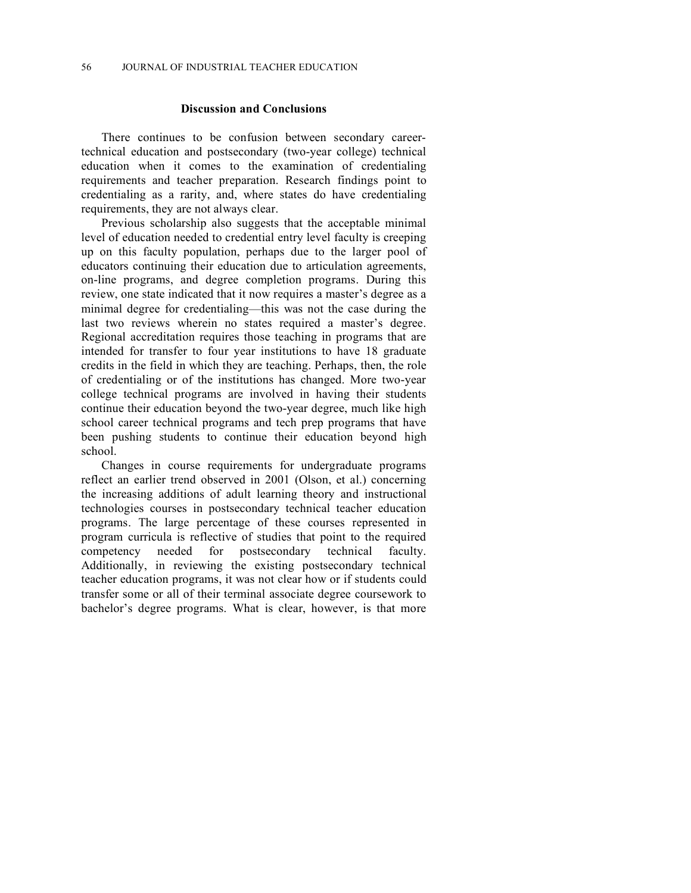# **Discussion and Conclusions**

There continues to be confusion between secondary careertechnical education and postsecondary (two-year college) technical education when it comes to the examination of credentialing requirements and teacher preparation. Research findings point to credentialing as a rarity, and, where states do have credentialing requirements, they are not always clear.

Previous scholarship also suggests that the acceptable minimal level of education needed to credential entry level faculty is creeping up on this faculty population, perhaps due to the larger pool of educators continuing their education due to articulation agreements, on-line programs, and degree completion programs. During this review, one state indicated that it now requires a master's degree as a minimal degree for credentialing—this was not the case during the last two reviews wherein no states required a master's degree. Regional accreditation requires those teaching in programs that are intended for transfer to four year institutions to have 18 graduate credits in the field in which they are teaching. Perhaps, then, the role of credentialing or of the institutions has changed. More two-year college technical programs are involved in having their students continue their education beyond the two-year degree, much like high school career technical programs and tech prep programs that have been pushing students to continue their education beyond high school.

Changes in course requirements for undergraduate programs reflect an earlier trend observed in 2001 (Olson, et al.) concerning the increasing additions of adult learning theory and instructional technologies courses in postsecondary technical teacher education programs. The large percentage of these courses represented in program curricula is reflective of studies that point to the required competency needed for postsecondary technical faculty. Additionally, in reviewing the existing postsecondary technical teacher education programs, it was not clear how or if students could transfer some or all of their terminal associate degree coursework to bachelor's degree programs. What is clear, however, is that more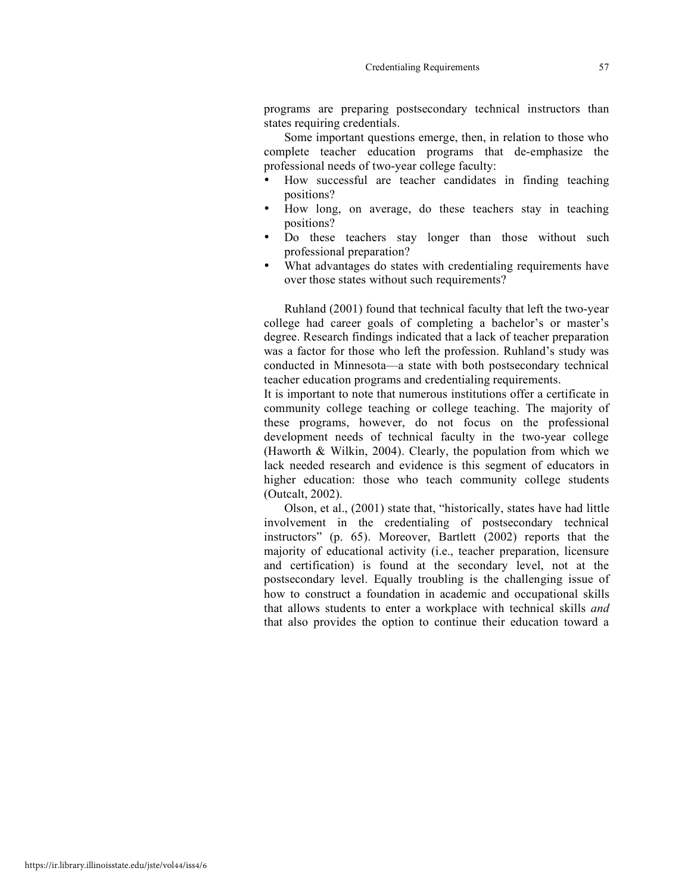programs are preparing postsecondary technical instructors than states requiring credentials.

Some important questions emerge, then, in relation to those who complete teacher education programs that de-emphasize the professional needs of two-year college faculty:

- How successful are teacher candidates in finding teaching positions?
- How long, on average, do these teachers stay in teaching positions?
- Do these teachers stay longer than those without such professional preparation?
- What advantages do states with credentialing requirements have over those states without such requirements?

Ruhland (2001) found that technical faculty that left the two-year college had career goals of completing a bachelor's or master's degree. Research findings indicated that a lack of teacher preparation was a factor for those who left the profession. Ruhland's study was conducted in Minnesota—a state with both postsecondary technical teacher education programs and credentialing requirements.

It is important to note that numerous institutions offer a certificate in community college teaching or college teaching. The majority of these programs, however, do not focus on the professional development needs of technical faculty in the two-year college (Haworth & Wilkin, 2004). Clearly, the population from which we lack needed research and evidence is this segment of educators in higher education: those who teach community college students (Outcalt, 2002).

Olson, et al., (2001) state that, "historically, states have had little involvement in the credentialing of postsecondary technical instructors" (p. 65). Moreover, Bartlett (2002) reports that the majority of educational activity (i.e., teacher preparation, licensure and certification) is found at the secondary level, not at the postsecondary level. Equally troubling is the challenging issue of how to construct a foundation in academic and occupational skills that allows students to enter a workplace with technical skills *and*  that also provides the option to continue their education toward a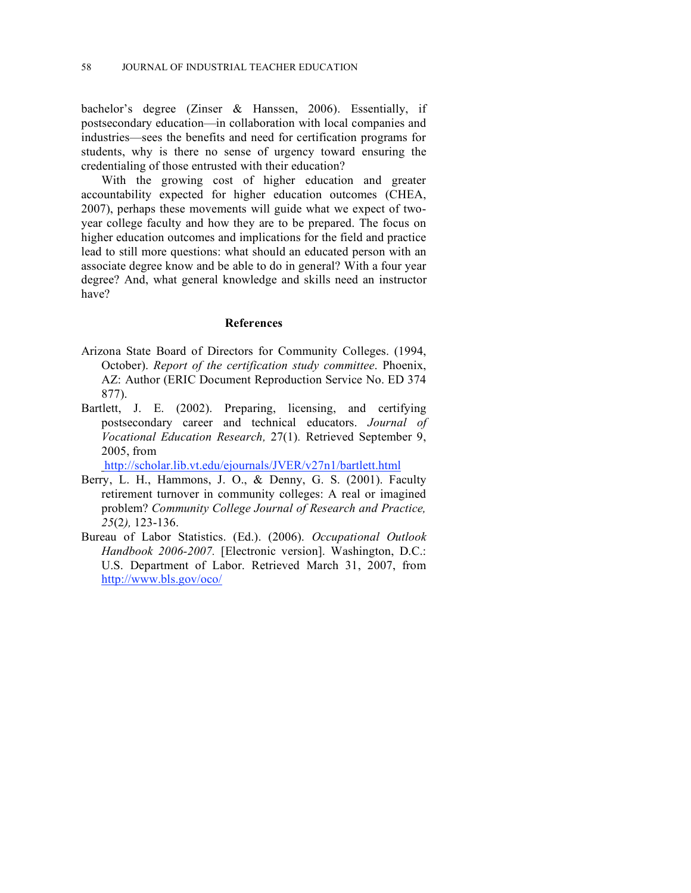bachelor's degree (Zinser & Hanssen, 2006). Essentially, if postsecondary education—in collaboration with local companies and industries—sees the benefits and need for certification programs for students, why is there no sense of urgency toward ensuring the credentialing of those entrusted with their education?

With the growing cost of higher education and greater accountability expected for higher education outcomes (CHEA, 2007), perhaps these movements will guide what we expect of twoyear college faculty and how they are to be prepared. The focus on higher education outcomes and implications for the field and practice lead to still more questions: what should an educated person with an associate degree know and be able to do in general? With a four year degree? And, what general knowledge and skills need an instructor have?

# **References**

- Arizona State Board of Directors for Community Colleges. (1994, October). *Report of the certification study committee*. Phoenix, AZ: Author (ERIC Document Reproduction Service No. ED 374 877).
- Bartlett, J. E. (2002). Preparing, licensing, and certifying postsecondary career and technical educators. *Journal of Vocational Education Research,* 27(1)*.* Retrieved September 9, 2005, from

http://scholar.lib.vt.edu/ejournals/JVER/v27n1/bartlett.html

- Berry, L. H., Hammons, J. O., & Denny, G. S. (2001). Faculty retirement turnover in community colleges: A real or imagined problem? *Community College Journal of Research and Practice, 25*(2*),* 123-136.
- Bureau of Labor Statistics. (Ed.). (2006). *Occupational Outlook Handbook 2006-2007.* [Electronic version]. Washington, D.C.: U.S. Department of Labor. Retrieved March 31, 2007, from http://www.bls.gov/oco/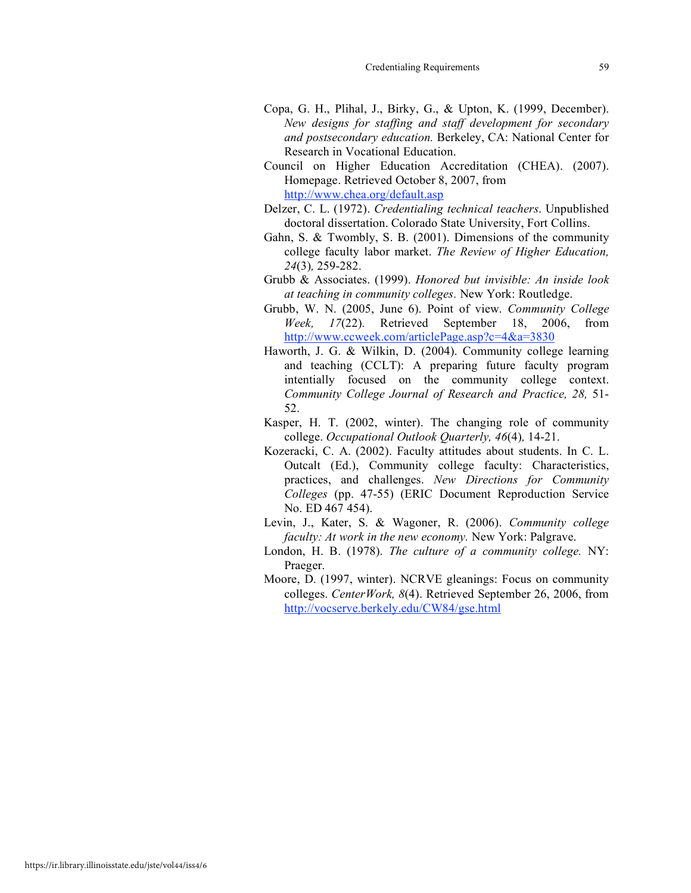- Copa, G. H., Plihal, J., Birky, G., & Upton, K. (1999, December). *New designs for staffing and staff development for secondary and postsecondary education.* Berkeley, CA: National Center for Research in Vocational Education.
- Council on Higher Education Accreditation (CHEA). (2007). Homepage. Retrieved October 8, 2007, from http://www.chea.org/default.asp
- Delzer, C. L. (1972). *Credentialing technical teachers*. Unpublished doctoral dissertation. Colorado State University, Fort Collins.
- Gahn, S. & Twombly, S. B. (2001). Dimensions of the community college faculty labor market. *The Review of Higher Education, 24*(3)*,* 259-282.
- Grubb & Associates. (1999). *Honored but invisible: An inside look at teaching in community colleges.* New York: Routledge.
- Grubb, W. N. (2005, June 6). Point of view. *Community College Week, 17*(22)*.* Retrieved September 18, 2006, from http://www.ccweek.com/articlePage.asp?c=4&a=3830
- Haworth, J. G. & Wilkin, D. (2004). Community college learning and teaching (CCLT): A preparing future faculty program intentially focused on the community college context. *Community College Journal of Research and Practice, 28,* 51- 52.
- Kasper, H. T. (2002, winter). The changing role of community college. *Occupational Outlook Quarterly, 46*(4)*,* 14-21.
- Kozeracki, C. A. (2002). Faculty attitudes about students. In C. L. Outcalt (Ed.), Community college faculty: Characteristics, practices, and challenges. *New Directions for Community Colleges* (pp. 47-55) (ERIC Document Reproduction Service No. ED 467 454).
- Levin, J., Kater, S. & Wagoner, R. (2006). *Community college faculty: At work in the new economy.* New York: Palgrave.
- London, H. B. (1978). *The culture of a community college.* NY: Praeger.
- Moore, D. (1997, winter). NCRVE gleanings: Focus on community colleges. *CenterWork, 8*(4). Retrieved September 26, 2006, from http://vocserve.berkely.edu/CW84/gse.html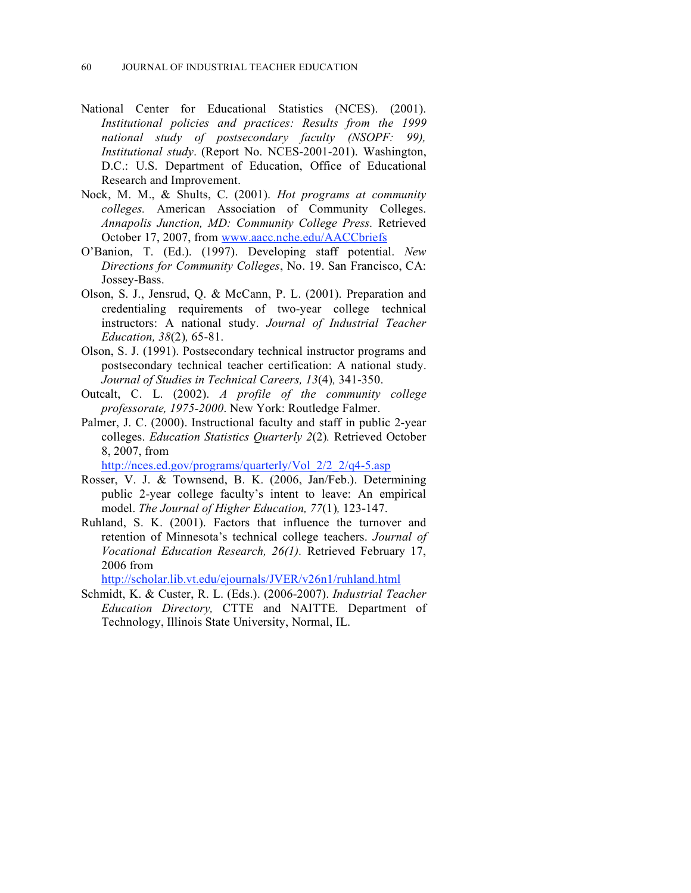- National Center for Educational Statistics (NCES). (2001). *Institutional policies and practices: Results from the 1999 national study of postsecondary faculty (NSOPF: 99), Institutional study*. (Report No. NCES-2001-201). Washington, D.C.: U.S. Department of Education, Office of Educational Research and Improvement.
- Nock, M. M., & Shults, C. (2001). *Hot programs at community colleges.* American Association of Community Colleges. *Annapolis Junction, MD: Community College Press.* Retrieved October 17, 2007, from www.aacc.nche.edu/AACCbriefs
- O'Banion, T. (Ed.). (1997). Developing staff potential. *New Directions for Community Colleges*, No. 19. San Francisco, CA: Jossey-Bass.
- Olson, S. J., Jensrud, Q. & McCann, P. L. (2001). Preparation and credentialing requirements of two-year college technical instructors: A national study. *Journal of Industrial Teacher Education, 38*(2)*,* 65-81.
- Olson, S. J. (1991). Postsecondary technical instructor programs and postsecondary technical teacher certification: A national study. *Journal of Studies in Technical Careers, 13*(4)*,* 341-350.
- Outcalt, C. L. (2002). *A profile of the community college professorate, 1975-2000*. New York: Routledge Falmer.
- Palmer, J. C. (2000). Instructional faculty and staff in public 2-year colleges. *Education Statistics Quarterly 2*(2)*.* Retrieved October 8, 2007, from

http://nces.ed.gov/programs/quarterly/Vol\_2/2\_2/q4-5.asp

- Rosser, V. J. & Townsend, B. K. (2006, Jan/Feb.). Determining public 2-year college faculty's intent to leave: An empirical model. *The Journal of Higher Education, 77*(1)*,* 123-147.
- Ruhland, S. K. (2001). Factors that influence the turnover and retention of Minnesota's technical college teachers. *Journal of Vocational Education Research, 26(1).* Retrieved February 17, 2006 from

http://scholar.lib.vt.edu/ejournals/JVER/v26n1/ruhland.html

Schmidt, K. & Custer, R. L. (Eds.). (2006-2007). *Industrial Teacher Education Directory,* CTTE and NAITTE. Department of Technology, Illinois State University, Normal, IL.